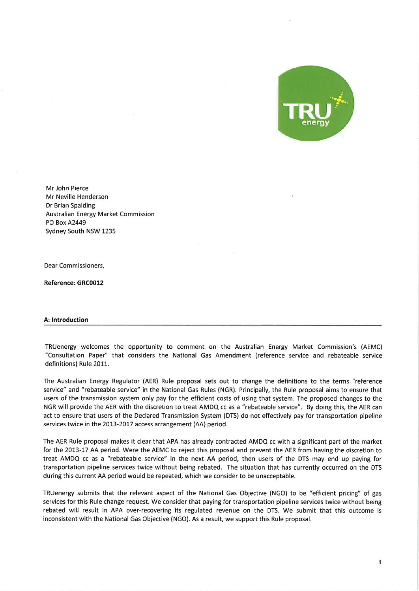

Mr John Pierce Mr Neville Henderson Dr Brian Spalding Australian Energy Market Commission PO Box A2449 Sydney South NSW 1235

Dear Commissioners,

Reference: GRC0012

### A: lntroduction

TRUenergy welcomes the opportunity to comment on the Australian Energy Market Commission's (AEMC) "Consultation Paper" that considers the National Gas Amendment (reference service and rebateable service definitions) Rule 2011.

The Australian Energy Regulator (AER) Rule proposal sets out to change the definitions to the terms "reference service" and "rebateable service" in the National Gas Rules (NGR). Principally, the Rule proposal aims to ensure that users of the transmission system only pay for the efficient costs of using that system. The proposed changes to the NGR will provide the AER with the discretion to treat AMDQ cc as a "rebateable service". By doing this, the AER can act to ensure that users of the Declared Transmission System (DTS) do not effectively pay for transportation pipeline services twice in the 2013-2017 access arrangement (AA) period.

The AER Rule proposal makes it clear that APA has already contracted AMDQ cc with a significant part of the market for the 2013-17 AA period. Were the AEMC to reject this proposal and prevent the AER from having the discretion to treat AMDQ cc as a "rebateable service" in the next AA period, then users of the DTS may end up paying for transportation pipeline services twice without being rebated. The situation that has currently occurred on the DTS during this current AA period would be repeated, which we consider to be unacceptable.

TRUenergy submits that the relevant aspect of the National Gas Objective (NGO) to be "efficient pricing" of gas services for this Rule change request. We consider that paying for transportation pipeline services twice without being rebated will result in APA over-recovering its regulated revenue on the DTS. We submit that this outcome is inconsistent with the National Gas Objective (NGO). As a result, we support this Rule proposal.

1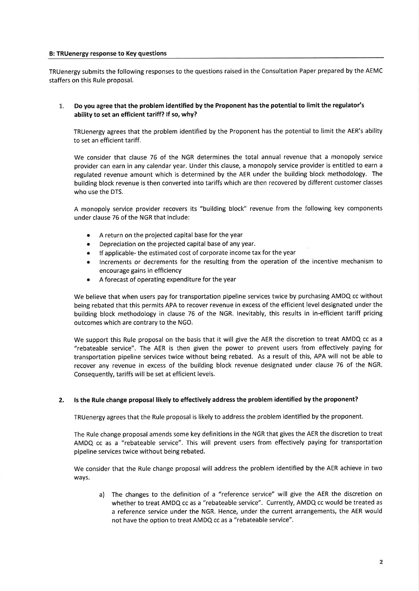## B: TRUenergy response to Key questions

TRUenergy submits the following responses to the questions raised in the Consultation Paper prepared by the AEMC staffers on this Rule proposal.

# 1. Do you agree that the problem identified by the Proponent has the potential to limit the regulator's ability to set an efficient tariff? lf so, why?

TRUenergy agrees that the problem identified by the Proponent has the potential to limit the AER's ability to set an efficient tariff.

We consider that clause 76 of the NGR determines the total annual revenue that a monopoly service provider can earn in any calendar year. Under this clause, a monopoly service provider is entitled to earn <sup>a</sup> regulated revenue amount which is determined by the AER under the building block methodology. The building block revenue is then converted into tariffs which are then recovered by different customer classes who use the DTS.

A monopoly service provider recovers its "building block" revenue from the following key components under clause 76 of the NGR that include:

- . A return on the projected capital base for the year
- Depreciation on the projected capital base of any year.
- o lf applicable- the estimated cost of corporate income tax for the year
- Increments or decrements for the resulting from the operation of the incentive mechanism to encourage gains in efficiency
- A forecast of operating expenditure for the year

We believe that when users pay for transportation pipeline services twice by purchasing AMDQ cc without being rebated that this permits APA to recover revenue in excess ofthe efficient level designated under the building block methodology in clause 76 of the NGR. lnevitably, this results in in-efficient tariff pricing outcomes which are contrary to the NGO.

We support this Rule proposal on the basis that it will give the AER the discretion to treat AMDQ cc as <sup>a</sup> "rebateable service". The AER is then given the power to prevent users from effectively paying for transportation pipeline services twice without being rebated. As a result of this, APA will not be able to recover any revenue in excess of the building block revenue designated under clause 76 of the NGR. Consequently, tariffs will be set at efficient levels.

## 2. ls the Rule change proposal likely to effectively address the problem identified by the proponent?

TRUenergy agrees that the Rule proposal is likely to address the problem identified by the proponent.

The Rule change proposal amends some key definitions in the NGR that gives the AER the discretion to treat AMDQ cc as a "rebateable service". This will prevent users from effectively paying for transportation pipeline services twice without being rebated.

We consider that the Rule change proposal will address the problem identified by the AER achieve in two ways.

a) The changes to the definition of a "reference service" will give the AER the discretion on whether to treat AMDQ cc as a "rebateable service". Currently, AMDQ cc would be treated as a reference service under the NGR. Hence, under the current arrangements, the AER would not have the option to treat AMDQ cc as a "rebateable service".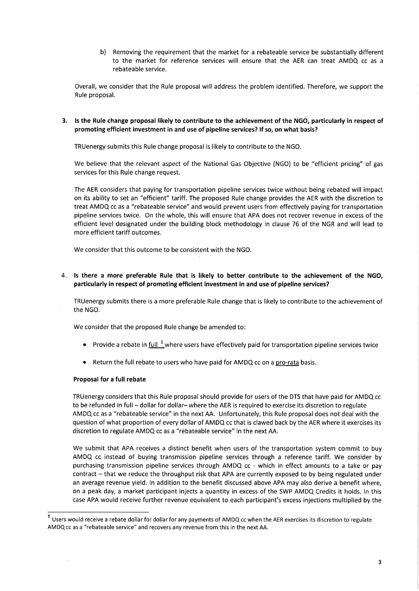b) Removing the requirement that the market for a rebateable service be substantially different to the market for reference services will ensure that the AER can treat AMDQ cc as <sup>a</sup> rebateable service.

Overall, we consider that the Rule proposal will address the problem identified. Therefore, we support the Rule proposal.

ls the Rule change proposal likely to contribute to the achievement of the NGO, particularly in respect of 3. promoting efficient investment in and use of pipeline services? lf so, on what basis?

TRUenergy submits this Rule change proposal is likely to contribute to the NGO.

We believe that the relevant aspect of the National Gas Objective (NGO) to be "efficient pricing" of gas services for this Rule change request.

The AER considers that paying for transportation pipeline services twice without being rebated will impact on its ability to set an "efficient" tariff. The proposed Rule change provides the AER with the discretion to treat AMDQ cc as a "rebateable service" and would prevent users from effectively paying for transportation pipeline services twice. On the whole, this will ensure that APA does not recover revenue in excess of the efficient level designated under the building block methodology in clause 76 of the NGR and will lead to more efficient tariff outcomes.

We consider that this outcome to be consistent with the NGO.

4. Is there a more preferable Rule that is likely to better contribute to the achievement of the NGO, particularly in respect of promoting efficient investment in and use of pipeline services?

TRUenergy submits there is a more preferable Rule change that is likely to contribute to the achievement of the NGO.

We consider that the proposed Rule change be amended to:

- Provide a rebate in  $full$ <sup>1</sup> where users have effectively paid for transportation pipeline services twice</u>
- o Return the full rebate to users who have paid for AMDQ cc on a pro-rata basis.

### Proposal for a full rebate

TRUenergy considers that this Rule proposal should provide for users of the DTS that have paid for AMDQ cc to be refunded in full - dollar for dollar-where the AER is required to exercise its discretion to regulate AMDQ cc as a "rebateable service" in the next AA. Unfortunately, this Rule proposal does not deal with the question of what proportion of every dollar of AMDQ cc that is clawed back by the AER where it exercises its discretion to regulate AMDQ cc as a "rebateable service" in the next AA.

We submit that APA receives a distinct benefit when users of the transportation system commit to buy AMDQ cc instead of buying transmission pipeline services through a reference tariff. We consider by purchasing transmission pipeline services through AMDQ cc - which in effect amounts to a take or pay contract – that we reduce the throughput risk that APA are currently exposed to by being regulated under an average revenue yield. ln addition to the benefit discussed above APA may also derive a benefit where, on a peak day, a market participant injects a quantity in excess of the SWP AMDQ Credits it holds. In this case APA would receive further revenue equivalent to each participant's excess injections multiplied by the

Users would receive a rebate dollar for dollar for any payments of AMDQ cc when the AER exercises its discretion to regulate AMDQ cc as a "rebateable service" and recovers any revenue from this in the next AA.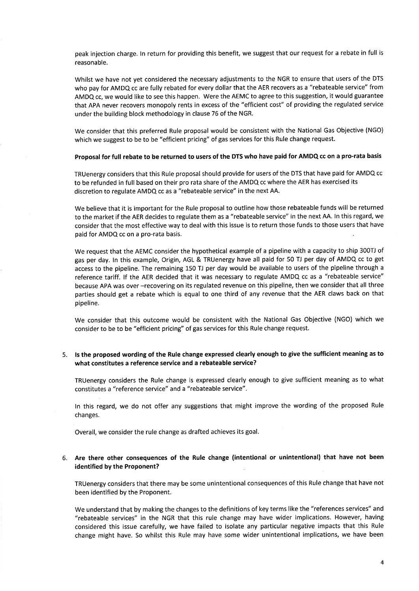peak injection charge. ln return for providing this benefit, we suggest that our request for a rebate in full is reasonable.

Whilst we have not yet considered the necessary adjustments to the NGR to ensure that users of the DTS who pay for AMDQ cc are fully rebated for every dollar that the AER recovers as a "rebateable service" from AMDQ cc, we would like to see this happen. Were the AEMC to agree to this suggestion, it would guarantee that APA never recovers monopoly rents in excess of the "efficient cost" of providing the regulated service under the building block methodology in clause 76 of the NGR.

We consider that this preferred Rule proposal would be consistent with the National Gas Objective (NGO) which we suggest to be to be "efficient pricing" of gas services for this Rule change request.

# Proposal for full rebate to be returned to users of the DTS who have paid for AMDQ cc on a pro-rata basis

TRUenergy considers that this Rule proposal should provide for users of the DTS that have paid for AMDQ cc to be refunded in full based on their pro rata share of the AMDQ cc where the AER has exercised its discretion to regulate AMDQ cc as a "rebateable service" in the next AA.

We believe that it is important for the Rule proposal to outline how those rebateable funds will be returned to the market if the AER decides to regulate them as a "rebateable service" in the next AA. ln this regard, we consider that the most effective way to deal with this issue is to return those funds to those users that have paid for AMDQ cc on a pro-rata basis.

We request that the AEMC consider the hypothetical example of a pipeline with a capacity to ship 300TJ of gas per day. ln this example, Origin, AGL & TRUenergy have all paid for 50 TJ per day of AMDQ cc to get access to the pipeline. The remaining 150 TJ per day would be available to users of the pipeline through <sup>a</sup> reference tariff. lf the AER decided that it was necessary to regulate AMDQ cc as a "rebateable service" because APA was over-recovering on its regulated revenue on this pipeline, then we consider that all three parties should get a rebate which is equal to one third of any revenue that the AER claws back on that pipeline.

We consider that this outcome would be consistent with the National Gas Objective (NGO) which we consider to be to be "efficient pricing" of gas services for this Rule change request.

## 5. ls the proposed wording of the Rule change expressed clearly enough to give the sufficient meaning as to what constitutes a reference service and a rebateable service?

TRUenergy considers the Rule change is expressed clearly enough to give sufficient meaning as to what constitutes a "reference service" and a "rebateable service".

ln this regard, we do not offer any suggestions that might improve the wording of the proposed Rule changes.

Overall, we consider the rule change as drafted achieves its goal.

# Are there other consequences of the Rule change (intentional or unintentional) that have not been 6.identified by the Proponent?

TRUenergy considers that there may be some unintentional consequences ofthis Rule change that have not been identified by the Proponent.

We understand that by making the changes to the definitions of key terms like the "references services" and "rebateable services" in the NGR that this rule change may have wider implications. However, having considered this issue carefully, we have failed to isolate any particular negative impacts that this Rule change might have. So whilst this Rule may have some wider unintentional implications, we have been